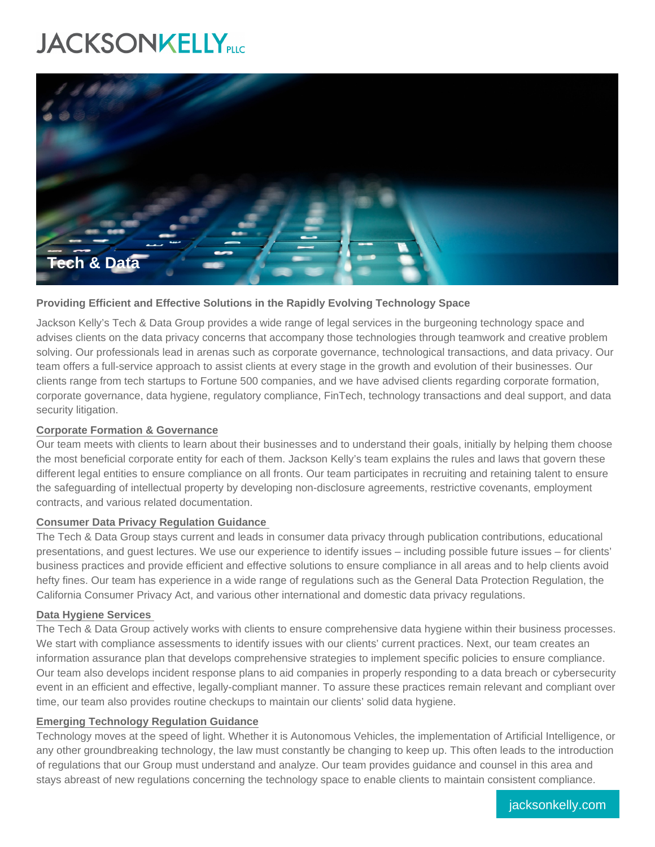# **JACKSONKELLYPLIC**



## **Providing Efficient and Effective Solutions in the Rapidly Evolving Technology Space**

Jackson Kelly's Tech & Data Group provides a wide range of legal services in the burgeoning technology space and advises clients on the data privacy concerns that accompany those technologies through teamwork and creative problem solving. Our professionals lead in arenas such as corporate governance, technological transactions, and data privacy. Our team offers a full-service approach to assist clients at every stage in the growth and evolution of their businesses. Our clients range from tech startups to Fortune 500 companies, and we have advised clients regarding corporate formation, corporate governance, data hygiene, regulatory compliance, FinTech, technology transactions and deal support, and data security litigation.

## **Corporate Formation & Governance**

Our team meets with clients to learn about their businesses and to understand their goals, initially by helping them choose the most beneficial corporate entity for each of them. Jackson Kelly's team explains the rules and laws that govern these different legal entities to ensure compliance on all fronts. Our team participates in recruiting and retaining talent to ensure the safeguarding of intellectual property by developing non-disclosure agreements, restrictive covenants, employment contracts, and various related documentation.

## **Consumer Data Privacy Regulation Guidance**

The Tech & Data Group stays current and leads in consumer data privacy through publication contributions, educational presentations, and guest lectures. We use our experience to identify issues – including possible future issues – for clients' business practices and provide efficient and effective solutions to ensure compliance in all areas and to help clients avoid hefty fines. Our team has experience in a wide range of regulations such as the General Data Protection Regulation, the California Consumer Privacy Act, and various other international and domestic data privacy regulations.

## **Data Hygiene Services**

The Tech & Data Group actively works with clients to ensure comprehensive data hygiene within their business processes. We start with compliance assessments to identify issues with our clients' current practices. Next, our team creates an information assurance plan that develops comprehensive strategies to implement specific policies to ensure compliance. Our team also develops incident response plans to aid companies in properly responding to a data breach or cybersecurity event in an efficient and effective, legally-compliant manner. To assure these practices remain relevant and compliant over time, our team also provides routine checkups to maintain our clients' solid data hygiene.

## **Emerging Technology Regulation Guidance**

Technology moves at the speed of light. Whether it is Autonomous Vehicles, the implementation of Artificial Intelligence, or any other groundbreaking technology, the law must constantly be changing to keep up. This often leads to the introduction of regulations that our Group must understand and analyze. Our team provides guidance and counsel in this area and stays abreast of new regulations concerning the technology space to enable clients to maintain consistent compliance.